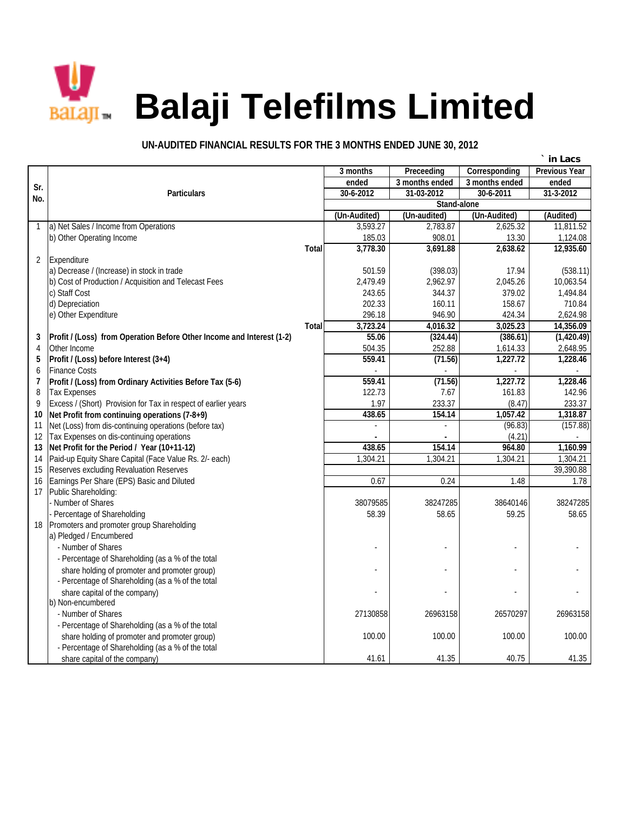

## **Balagi Telefilms Limited**

## **UN-AUDITED FINANCIAL RESULTS FOR THE 3 MONTHS ENDED JUNE 30, 2012**

|                         |                                                                       |              |              |                    |                | in Lacs              |
|-------------------------|-----------------------------------------------------------------------|--------------|--------------|--------------------|----------------|----------------------|
|                         |                                                                       |              | 3 months     | <b>Preceeding</b>  | Corresponding  | <b>Previous Year</b> |
| Sr.                     |                                                                       |              | ended        | 3 months ended     | 3 months ended | ended                |
| No.                     | <b>Particulars</b>                                                    |              | 30-6-2012    | 31-03-2012         | 30-6-2011      | 31-3-2012            |
|                         |                                                                       |              |              | <b>Stand-alone</b> |                |                      |
|                         |                                                                       |              | (Un-Audited) | (Un-audited)       | (Un-Audited)   | (Audited)            |
|                         | a) Net Sales / Income from Operations                                 |              | 3,593.27     | 2,783.87           | 2,625.32       | 11,811.52            |
|                         | b) Other Operating Income                                             |              | 185.03       | 908.01             | 13.30          | 1,124.08             |
|                         |                                                                       | <b>Total</b> | 3,778.30     | 3,691.88           | 2,638.62       | 12,935.60            |
| $\overline{2}$          | Expenditure                                                           |              |              |                    |                |                      |
|                         | a) Decrease / (Increase) in stock in trade                            |              | 501.59       | (398.03)           | 17.94          | (538.11)             |
|                         | b) Cost of Production / Acquisition and Telecast Fees                 |              | 2,479.49     | 2,962.97           | 2,045.26       | 10,063.54            |
|                         | c) Staff Cost                                                         |              | 243.65       | 344.37             | 379.02         | 1,494.84             |
|                         | d) Depreciation                                                       |              | 202.33       | 160.11             | 158.67         | 710.84               |
|                         | e) Other Expenditure                                                  |              | 296.18       | 946.90             | 424.34         | 2,624.98             |
|                         |                                                                       | <b>Total</b> | 3,723.24     | 4,016.32           | 3,025.23       | 14,356.09            |
| 3                       | Profit / (Loss) from Operation Before Other Income and Interest (1-2) |              | 55.06        | (324.44)           | (386.61)       | (1,420.49)           |
| 4                       | Other Income                                                          |              | 504.35       | 252.88             | 1,614.33       | 2,648.95             |
| 5                       | Profit / (Loss) before Interest (3+4)                                 |              | 559.41       | (71.56)            | 1,227.72       | 1,228.46             |
| 6                       | <b>Finance Costs</b>                                                  |              |              |                    |                |                      |
| $\overline{\mathbf{z}}$ | Profit / (Loss) from Ordinary Activities Before Tax (5-6)             |              | 559.41       | (71.56)            | 1,227.72       | 1,228.46             |
| 8                       | <b>Tax Expenses</b>                                                   |              | 122.73       | 7.67               | 161.83         | 142.96               |
| 9                       | Excess / (Short) Provision for Tax in respect of earlier years        |              | 1.97         | 233.37             | (8.47)         | 233.37               |
| 10                      | Net Profit from continuing operations (7-8+9)                         |              | 438.65       | 154.14             | 1,057.42       | 1,318.87             |
| 11                      | Net (Loss) from dis-continuing operations (before tax)                |              |              | $\overline{a}$     | (96.83)        | (157.88)             |
| 12                      | Tax Expenses on dis-continuing operations                             |              |              |                    | (4.21)         |                      |
| 13                      | Net Profit for the Period / Year (10+11-12)                           |              | 438.65       | 154.14             | 964.80         | 1,160.99             |
| 14                      | Paid-up Equity Share Capital (Face Value Rs. 2/- each)                |              | 1,304.21     | 1,304.21           | 1,304.21       | 1,304.21             |
| 15                      | Reserves excluding Revaluation Reserves                               |              |              |                    |                | 39,390.88            |
| 16                      | Earnings Per Share (EPS) Basic and Diluted                            |              | 0.67         | 0.24               | 1.48           | 1.78                 |
| 17                      | Public Shareholding:                                                  |              |              |                    |                |                      |
|                         | Number of Shares                                                      |              | 38079585     | 38247285           | 38640146       | 38247285             |
|                         | Percentage of Shareholding                                            |              | 58.39        | 58.65              | 59.25          | 58.65                |
| 18                      | Promoters and promoter group Shareholding                             |              |              |                    |                |                      |
|                         | a) Pledged / Encumbered                                               |              |              |                    |                |                      |
|                         | - Number of Shares                                                    |              |              |                    |                |                      |
|                         | - Percentage of Shareholding (as a % of the total                     |              |              |                    |                |                      |
|                         | share holding of promoter and promoter group)                         |              |              |                    |                |                      |
|                         | - Percentage of Shareholding (as a % of the total                     |              |              |                    |                |                      |
|                         | share capital of the company)                                         |              |              |                    |                |                      |
|                         | b) Non-encumbered                                                     |              |              |                    |                |                      |
|                         | - Number of Shares                                                    |              | 27130858     | 26963158           | 26570297       | 26963158             |
|                         | - Percentage of Shareholding (as a % of the total                     |              |              |                    |                |                      |
|                         | share holding of promoter and promoter group)                         |              | 100.00       | 100.00             | 100.00         | 100.00               |
|                         | - Percentage of Shareholding (as a % of the total                     |              |              |                    |                |                      |
|                         | share capital of the company)                                         |              | 41.61        | 41.35              | 40.75          | 41.35                |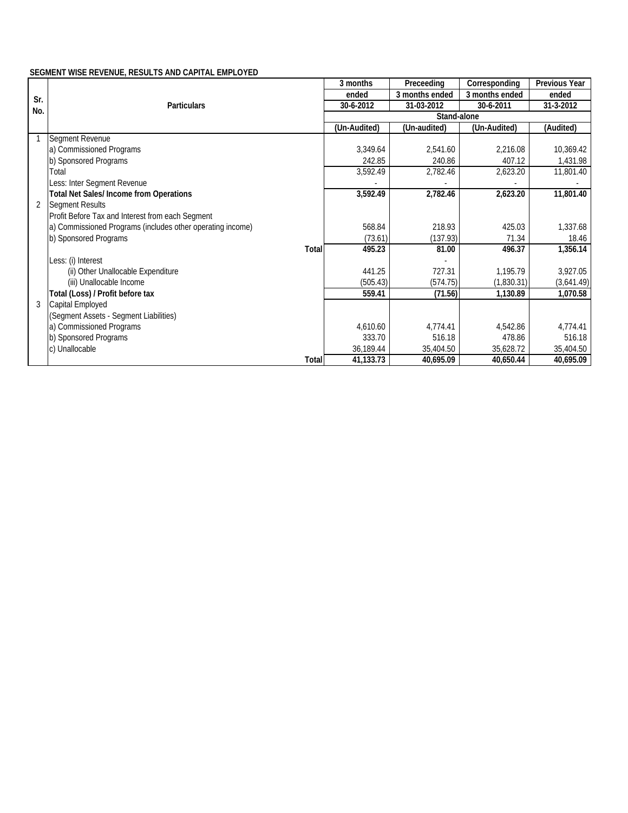## **SEGMENT WISE REVENUE, RESULTS AND CAPITAL EMPLOYED**

|                |                                                            | 3 months           | Preceeding     | Corresponding  | <b>Previous Year</b> |  |  |  |
|----------------|------------------------------------------------------------|--------------------|----------------|----------------|----------------------|--|--|--|
| Sr.            |                                                            | ended              | 3 months ended | 3 months ended | ended                |  |  |  |
| No.            | <b>Particulars</b>                                         | 30-6-2012          | 31-03-2012     | 30-6-2011      | 31-3-2012            |  |  |  |
|                |                                                            | <b>Stand-alone</b> |                |                |                      |  |  |  |
|                |                                                            | (Un-Audited)       | (Un-audited)   | (Un-Audited)   | (Audited)            |  |  |  |
|                | Segment Revenue                                            |                    |                |                |                      |  |  |  |
|                | a) Commissioned Programs                                   | 3,349.64           | 2,541.60       | 2,216.08       | 10,369.42            |  |  |  |
|                | b) Sponsored Programs                                      | 242.85             | 240.86         | 407.12         | 1,431.98             |  |  |  |
|                | Total                                                      | 3,592.49           | 2,782.46       | 2,623.20       | 11,801.40            |  |  |  |
|                | Less: Inter Segment Revenue                                |                    |                |                |                      |  |  |  |
|                | <b>Total Net Sales/Income from Operations</b>              | 3,592.49           | 2,782.46       | 2,623.20       | 11,801.40            |  |  |  |
| $\overline{2}$ | <b>Segment Results</b>                                     |                    |                |                |                      |  |  |  |
|                | Profit Before Tax and Interest from each Segment           |                    |                |                |                      |  |  |  |
|                | a) Commissioned Programs (includes other operating income) | 568.84             | 218.93         | 425.03         | 1,337.68             |  |  |  |
|                | b) Sponsored Programs                                      | (73.61)            | (137.93)       | 71.34          | 18.46                |  |  |  |
|                | <b>Total</b>                                               | 495.23             | 81.00          | 496.37         | 1,356.14             |  |  |  |
|                | Less: (i) Interest                                         |                    |                |                |                      |  |  |  |
|                | (ii) Other Unallocable Expenditure                         | 441.25             | 727.31         | 1,195.79       | 3,927.05             |  |  |  |
|                | (iii) Unallocable Income                                   | (505.43)           | (574.75)       | (1,830.31)     | (3,641.49)           |  |  |  |
|                | Total (Loss) / Profit before tax                           | 559.41             | (71.56)        | 1,130.89       | 1,070.58             |  |  |  |
| 3              | Capital Employed                                           |                    |                |                |                      |  |  |  |
|                | (Segment Assets - Segment Liabilities)                     |                    |                |                |                      |  |  |  |
|                | a) Commissioned Programs                                   | 4,610.60           | 4,774.41       | 4,542.86       | 4,774.41             |  |  |  |
|                | b) Sponsored Programs                                      | 333.70             | 516.18         | 478.86         | 516.18               |  |  |  |
|                | c) Unallocable                                             | 36,189.44          | 35,404.50      | 35,628.72      | 35,404.50            |  |  |  |
|                | <b>Total</b>                                               | 41,133.73          | 40,695.09      | 40,650.44      | 40,695.09            |  |  |  |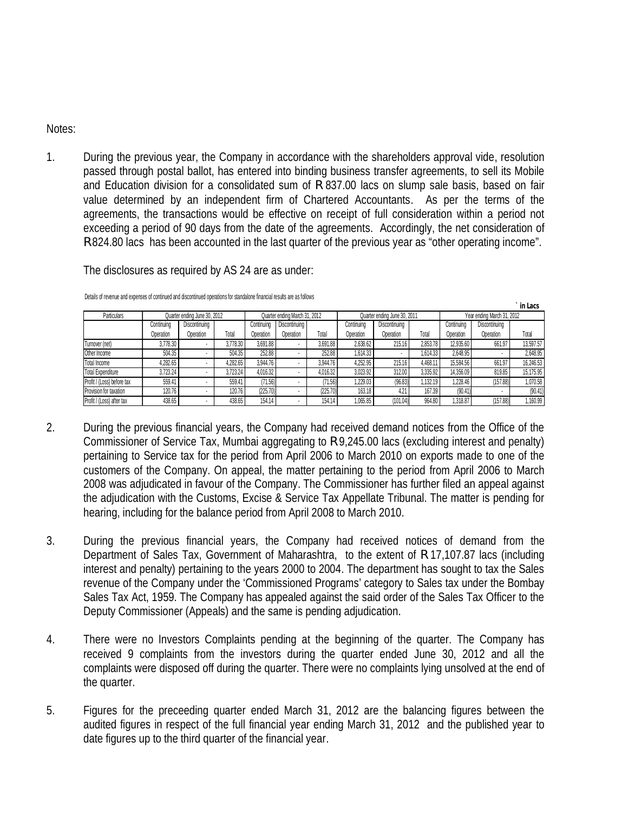## Notes:

1. During the previous year, the Company in accordance with the shareholders approval vide, resolution passed through postal ballot, has entered into binding business transfer agreements, to sell its Mobile and Education division for a consolidated sum of R 837.00 lacs on slump sale basis, based on fair value determined by an independent firm of Chartered Accountants. As per the terms of the agreements, the transactions would be effective on receipt of full consideration within a period not exceeding a period of 90 days from the date of the agreements. Accordingly, the net consideration of R 824.80 lacs has been accounted in the last quarter of the previous year as "other operating income".

The disclosures as required by AS 24 are as under:

|                            |                              |               |          |                               |                      |          |                              |               |          |                            |               | III LAGS  |
|----------------------------|------------------------------|---------------|----------|-------------------------------|----------------------|----------|------------------------------|---------------|----------|----------------------------|---------------|-----------|
| <b>Particulars</b>         | Quarter ending June 30, 2012 |               |          | Quarter ending March 31, 2012 |                      |          | Quarter ending June 30, 2011 |               |          | Year ending March 31, 2012 |               |           |
|                            | Continuing                   | Discontinuing |          | Continuing                    | <b>Discontinuing</b> |          | Continuing                   | Discontinuing |          | Continuing                 | Discontinuing |           |
|                            | Operation                    | Operation     | Total    | Operation                     | Operation            | Total    | Operation                    | Operation     | Total    | Operation                  | Operation     | Total     |
| Turnover (net)             | 3,778.30                     |               | 3.778.30 | 3.691.88                      |                      | 3.691.88 | 2.638.62                     | 215.16        | 2.853.78 | 12.935.60                  | 661.97        | 13.597.57 |
| Other Income               | 504.35                       |               | 504.35   | 252.88                        |                      | 252.88   | 1.614.33                     |               | 1.614.33 | 2.648.95                   |               | 2,648.95  |
| <b>Total Income</b>        | 1,282.65                     |               | 1.282.65 | 3.944.76                      |                      | 3.944.76 | 4.252.95                     | 215.16        | 4.468.11 | 15.584.56                  | 661.97        | 16,246.53 |
| <b>Total Expenditure</b>   | 3,723.24                     |               | 3.723.24 | 4.016.32                      |                      | 4.016.32 | 3,023.92                     | 312.00        | 3.335.92 | 14.356.09                  | 819.85        | 15,175.95 |
| Profit / (Loss) before tax | 559.41                       |               | 559.41   | (71.56)                       |                      | (71.56)  | 1.229.03                     | (96.83)       | 1.132.19 | 1,228.46                   | (157.88)      | 1,070.58  |
| Provision for taxation     | 120.76                       |               | 120.76   | (225.70)                      |                      | (225.70) | 163.18                       | 4.21          | 167.39   | (90.41)                    |               | (90.41)   |
| Profit / (Loss) after tax  | 438.65                       |               | 438.65   | 154.14                        |                      | 154.14   | 1.065.85                     | (101.04)      | 964.80   | .318.87                    | (157.88)      | 1.160.99  |

**` in Lacs**

Details of revenue and expenses of continued and discontinued operations for standalone financial results are as follows

- 2. During the previous financial years, the Company had received demand notices from the Office of the Commissioner of Service Tax, Mumbai aggregating to R 9,245.00 lacs (excluding interest and penalty) pertaining to Service tax for the period from April 2006 to March 2010 on exports made to one of the customers of the Company. On appeal, the matter pertaining to the period from April 2006 to March 2008 was adjudicated in favour of the Company. The Commissioner has further filed an appeal against the adjudication with the Customs, Excise & Service Tax Appellate Tribunal. The matter is pending for hearing, including for the balance period from April 2008 to March 2010.
- 3. During the previous financial years, the Company had received notices of demand from the Department of Sales Tax, Government of Maharashtra, to the extent of R 17,107.87 lacs (including interest and penalty) pertaining to the years 2000 to 2004. The department has sought to tax the Sales revenue of the Company under the 'Commissioned Programs' category to Sales tax under the Bombay Sales Tax Act, 1959. The Company has appealed against the said order of the Sales Tax Officer to the Deputy Commissioner (Appeals) and the same is pending adjudication.
- 4. There were no Investors Complaints pending at the beginning of the quarter. The Company has received 9 complaints from the investors during the quarter ended June 30, 2012 and all the complaints were disposed off during the quarter. There were no complaints lying unsolved at the end of the quarter.
- 5. Figures for the preceeding quarter ended March 31, 2012 are the balancing figures between the audited figures in respect of the full financial year ending March 31, 2012 and the published year to date figures up to the third quarter of the financial year.